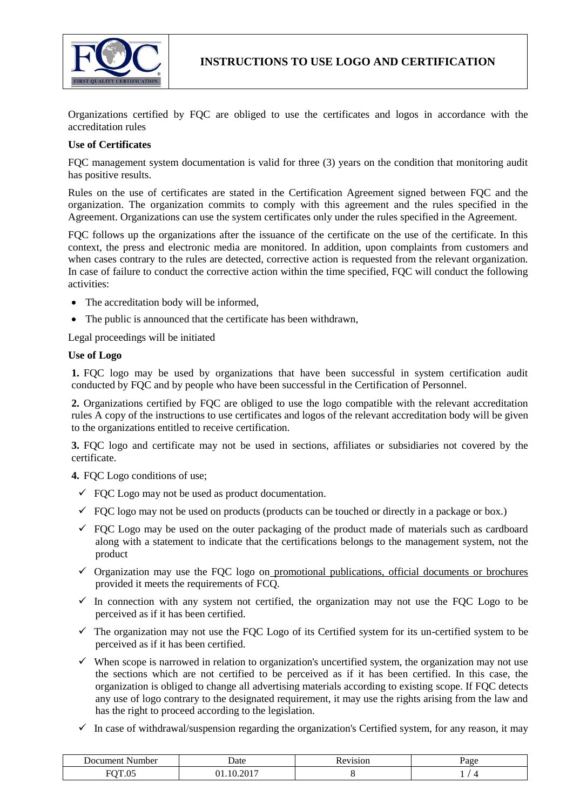

Organizations certified by FQC are obliged to use the certificates and logos in accordance with the accreditation rules

## **Use of Certificates**

FQC management system documentation is valid for three (3) years on the condition that monitoring audit has positive results.

Rules on the use of certificates are stated in the Certification Agreement signed between FQC and the organization. The organization commits to comply with this agreement and the rules specified in the Agreement. Organizations can use the system certificates only under the rules specified in the Agreement.

FQC follows up the organizations after the issuance of the certificate on the use of the certificate. In this context, the press and electronic media are monitored. In addition, upon complaints from customers and when cases contrary to the rules are detected, corrective action is requested from the relevant organization. In case of failure to conduct the corrective action within the time specified, FQC will conduct the following activities:

- The accreditation body will be informed,
- The public is announced that the certificate has been withdrawn,

Legal proceedings will be initiated

## **Use of Logo**

**1.** FQC logo may be used by organizations that have been successful in system certification audit conducted by FQC and by people who have been successful in the Certification of Personnel.

**2.** Organizations certified by FQC are obliged to use the logo compatible with the relevant accreditation rules A copy of the instructions to use certificates and logos of the relevant accreditation body will be given to the organizations entitled to receive certification.

**3.** FQC logo and certificate may not be used in sections, affiliates or subsidiaries not covered by the certificate.

**4.** FOC Logo conditions of use:

- $\checkmark$  FOC Logo may not be used as product documentation.
- $\checkmark$  FOC logo may not be used on products (products can be touched or directly in a package or box.)
- $\checkmark$  FQC Logo may be used on the outer packaging of the product made of materials such as cardboard along with a statement to indicate that the certifications belongs to the management system, not the product
- $\checkmark$  Organization may use the FQC logo on promotional publications, official documents or brochures provided it meets the requirements of FCQ.
- $\checkmark$  In connection with any system not certified, the organization may not use the FQC Logo to be perceived as if it has been certified.
- $\checkmark$  The organization may not use the FQC Logo of its Certified system for its un-certified system to be perceived as if it has been certified.
- $\checkmark$  When scope is narrowed in relation to organization's uncertified system, the organization may not use the sections which are not certified to be perceived as if it has been certified. In this case, the organization is obliged to change all advertising materials according to existing scope. If FQC detects any use of logo contrary to the designated requirement, it may use the rights arising from the law and has the right to proceed according to the legislation.
- $\checkmark$  In case of withdrawal/suspension regarding the organization's Certified system, for any reason, it may

| $: \alpha$ umant.<br>√umber<br>JO C | Date                  | 511010<br>`NUL. | $\mathbf{v}$ or $\alpha$<br>$\ddot{\phantom{a}}$<br>- |
|-------------------------------------|-----------------------|-----------------|-------------------------------------------------------|
| EOPAC<br>.                          | 2017<br>۱0<br>л.<br>. |                 | -                                                     |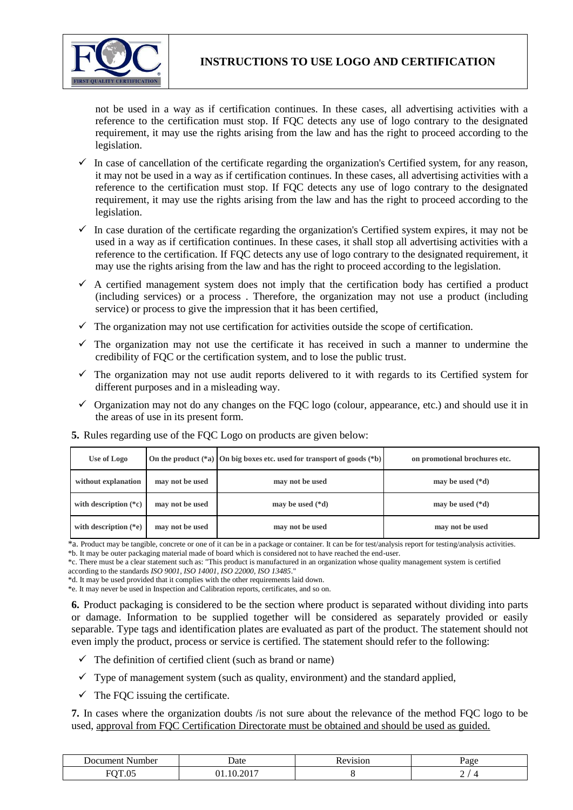

**INSTRUCTIONS TO USE LOGO AND CERTIFICATION**

not be used in a way as if certification continues. In these cases, all advertising activities with a reference to the certification must stop. If FQC detects any use of logo contrary to the designated requirement, it may use the rights arising from the law and has the right to proceed according to the legislation.

- $\checkmark$  In case of cancellation of the certificate regarding the organization's Certified system, for any reason, it may not be used in a way as if certification continues. In these cases, all advertising activities with a reference to the certification must stop. If FQC detects any use of logo contrary to the designated requirement, it may use the rights arising from the law and has the right to proceed according to the legislation.
- $\checkmark$  In case duration of the certificate regarding the organization's Certified system expires, it may not be used in a way as if certification continues. In these cases, it shall stop all advertising activities with a reference to the certification. If FQC detects any use of logo contrary to the designated requirement, it may use the rights arising from the law and has the right to proceed according to the legislation.
- $\checkmark$  A certified management system does not imply that the certification body has certified a product (including services) or a process . Therefore, the organization may not use a product (including service) or process to give the impression that it has been certified,
- $\checkmark$  The organization may not use certification for activities outside the scope of certification.
- $\checkmark$  The organization may not use the certificate it has received in such a manner to undermine the credibility of FQC or the certification system, and to lose the public trust.
- $\checkmark$  The organization may not use audit reports delivered to it with regards to its Certified system for different purposes and in a misleading way.
- $\checkmark$  Organization may not do any changes on the FQC logo (colour, appearance, etc.) and should use it in the areas of use in its present form.

| Use of Logo             |                 | On the product $(*a)$ On big boxes etc. used for transport of goods $(*b)$ | on promotional brochures etc. |
|-------------------------|-----------------|----------------------------------------------------------------------------|-------------------------------|
| without explanation     | may not be used | may not be used                                                            | may be used $(*d)$            |
| with description $(*c)$ | may not be used | may be used $(*d)$                                                         | may be used $(*d)$            |
| with description $(*e)$ | may not be used | may not be used                                                            | may not be used               |

**5.** Rules regarding use of the FQC Logo on products are given below:

\*a. Product may be tangible, concrete or one of it can be in a package or container. It can be for test/analysis report for testing/analysis activities.

\*b. It may be outer packaging material made of board which is considered not to have reached the end-user.

\*c. There must be a clear statement such as: "This product is manufactured in an organization whose quality management system is certified according to the standards *ISO 9001, ISO 14001, ISO 22000, ISO 13485*."

\*d. It may be used provided that it complies with the other requirements laid down. \*e. It may never be used in Inspection and Calibration reports, certificates, and so on.

**6.** Product packaging is considered to be the section where product is separated without dividing into parts

or damage. Information to be supplied together will be considered as separately provided or easily separable. Type tags and identification plates are evaluated as part of the product. The statement should not even imply the product, process or service is certified. The statement should refer to the following:

- $\checkmark$  The definition of certified client (such as brand or name)
- $\checkmark$  Type of management system (such as quality, environment) and the standard applied,
- $\checkmark$  The FOC issuing the certificate.

**7.** In cases where the organization doubts /is not sure about the relevance of the method FQC logo to be used, approval from FQC Certification Directorate must be obtained and should be used as guided.

| ∣umber<br>JOCHT | Jate | $\overline{\phantom{a}}$ |
|-----------------|------|--------------------------|
| $\blacksquare$  | 2015 | ,                        |
|                 |      | and the control of the   |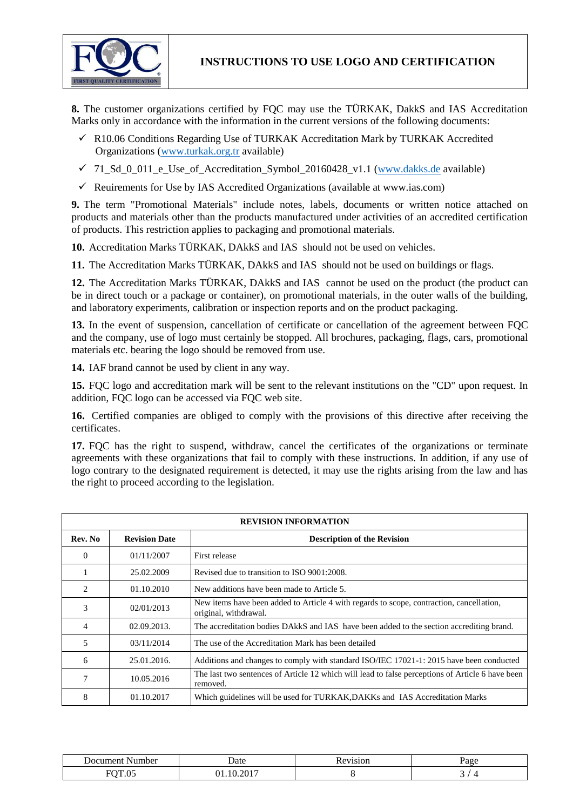

**INSTRUCTIONS TO USE LOGO AND CERTIFICATION**

**8.** The customer organizations certified by FQC may use the TÜRKAK, DakkS and IAS Accreditation Marks only in accordance with the information in the current versions of the following documents:

- $\checkmark$  R10.06 Conditions Regarding Use of TURKAK Accreditation Mark by TURKAK Accredited Organizations [\(www.turkak.org.tr](http://www.turkak.org.tr/) available)
- $\checkmark$  71\_Sd\_0\_011\_e\_Use\_of\_Accreditation\_Symbol\_20160428\_v1.1 [\(www.dakks.de](http://www.dakks.de/) available)
- $\checkmark$  Reuirements for Use by IAS Accredited Organizations (available at www.ias.com)

**9.** The term "Promotional Materials" include notes, labels, documents or written notice attached on products and materials other than the products manufactured under activities of an accredited certification of products. This restriction applies to packaging and promotional materials.

**10.** Accreditation Marks TÜRKAK, DAkkS and IAS should not be used on vehicles.

**11.** The Accreditation Marks TÜRKAK, DAkkS and IAS should not be used on buildings or flags.

**12.** The Accreditation Marks TÜRKAK, DAkkS and IAS cannot be used on the product (the product can be in direct touch or a package or container), on promotional materials, in the outer walls of the building, and laboratory experiments, calibration or inspection reports and on the product packaging.

**13.** In the event of suspension, cancellation of certificate or cancellation of the agreement between FQC and the company, use of logo must certainly be stopped. All brochures, packaging, flags, cars, promotional materials etc. bearing the logo should be removed from use.

**14.** IAF brand cannot be used by client in any way.

**15.** FQC logo and accreditation mark will be sent to the relevant institutions on the "CD" upon request. In addition, FQC logo can be accessed via FQC web site.

**16.** Certified companies are obliged to comply with the provisions of this directive after receiving the certificates.

**17.** FQC has the right to suspend, withdraw, cancel the certificates of the organizations or terminate agreements with these organizations that fail to comply with these instructions. In addition, if any use of logo contrary to the designated requirement is detected, it may use the rights arising from the law and has the right to proceed according to the legislation.

| <b>REVISION INFORMATION</b>   |                      |                                                                                                                   |  |
|-------------------------------|----------------------|-------------------------------------------------------------------------------------------------------------------|--|
| Rev. No                       | <b>Revision Date</b> | <b>Description of the Revision</b>                                                                                |  |
| $\Omega$                      | 01/11/2007           | First release                                                                                                     |  |
|                               | 25.02.2009           | Revised due to transition to ISO 9001:2008.                                                                       |  |
| $\mathfrak{D}_{\mathfrak{p}}$ | 01.10.2010           | New additions have been made to Article 5.                                                                        |  |
| 3                             | 02/01/2013           | New items have been added to Article 4 with regards to scope, contraction, cancellation,<br>original, withdrawal. |  |
| 4                             | 02.09.2013.          | The accreditation bodies DAkkS and IAS have been added to the section accrediting brand.                          |  |
| 5                             | 03/11/2014           | The use of the Accreditation Mark has been detailed                                                               |  |
| 6                             | 25.01.2016.          | Additions and changes to comply with standard ISO/IEC 17021-1: 2015 have been conducted                           |  |
|                               | 10.05.2016           | The last two sentences of Article 12 which will lead to false perceptions of Article 6 have been<br>removed.      |  |
| 8                             | 01.10.2017           | Which guidelines will be used for TURKAK, DAKKs and IAS Accreditation Marks                                       |  |

| Number                                                            | <b>Date</b>         | 71S1OF<br>л.<br>$\cdot$ | <b>Unac</b><br>. .    |
|-------------------------------------------------------------------|---------------------|-------------------------|-----------------------|
| $\sim$ $\sim$<br>$\sim$ $\sim$ $\sim$<br>$ \cdot$ $\cdot$ $\cdot$ | י זר<br>$\sim$ 0 1. |                         | $\tilde{\phantom{a}}$ |